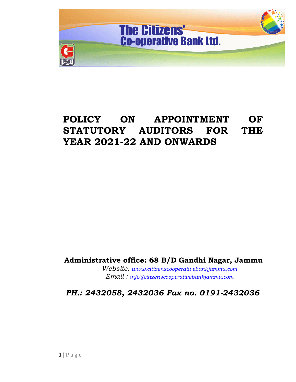

# **POLICY ON APPOINTMENT OF STATUTORY AUDITORS FOR THE YEAR 2021-22 AND ONWARDS**

## **Administrative office: 68 B/D Gandhi Nagar, Jammu**

 *Website: [www.citizenscooperativebankjammu.com](http://www.citizenscooperativebankjammu.com/) Email : [info@citizenscooperativebankjammu.com](mailto:info@citizenscooperativebankjammu.com)*

 *PH.: 2432058, 2432036 Fax no. 0191-2432036*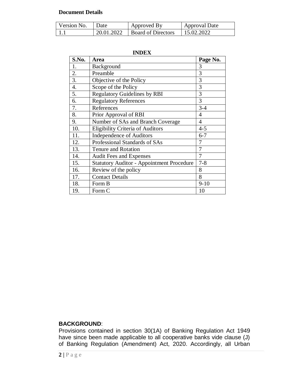#### **Document Details**

| Version No. Date |            | Approved By               | Approval Date |
|------------------|------------|---------------------------|---------------|
| 1.1              | 20.01.2022 | <b>Board of Directors</b> | 15.02.2022    |

#### **INDEX**

| S.No. | Area                                             | Page No.       |
|-------|--------------------------------------------------|----------------|
| 1.    | <b>Background</b>                                | 3              |
| 2.    | Preamble                                         | 3              |
| 3.    | Objective of the Policy                          | 3              |
| 4.    | Scope of the Policy                              | 3              |
| 5.    | <b>Regulatory Guidelines by RBI</b>              | 3              |
| 6.    | <b>Regulatory References</b>                     | 3              |
| 7.    | References                                       | $3 - 4$        |
| 8.    | Prior Approval of RBI                            | 4              |
| 9.    | Number of SAs and Branch Coverage                | 4              |
| 10.   | <b>Eligibility Criteria of Auditors</b>          | $4 - 5$        |
| 11.   | <b>Independence of Auditors</b>                  | $6 - 7$        |
| 12.   | Professional Standards of SAs                    | 7              |
| 13.   | <b>Tenure and Rotation</b>                       | $\overline{7}$ |
| 14.   | Audit Fees and Expenses                          | 7              |
| 15.   | <b>Statutory Auditor - Appointment Procedure</b> | $7 - 8$        |
| 16.   | Review of the policy                             | 8              |
| 17.   | <b>Contact Details</b>                           | 8              |
| 18.   | Form B                                           | $9 - 10$       |
| 19.   | Form C                                           | 10             |

## **BACKGROUND**:

Provisions contained in section 30(1A) of Banking Regulation Act 1949 have since been made applicable to all cooperative banks vide clause (J) of Banking Regulation (Amendment) Act, 2020. Accordingly, all Urban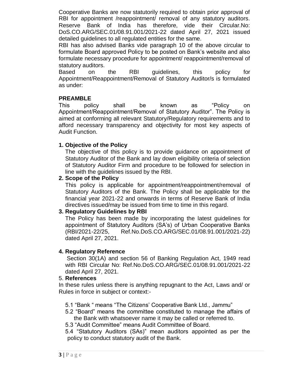Cooperative Banks are now statutorily required to obtain prior approval of RBI for appointment /reappointment/ removal of any statutory auditors. Reserve Bank of India has therefore, vide their Circular.No: DoS.CO.ARG/SEC.01/08.91.001/2021-22 dated April 27, 2021 issued detailed guidelines to all regulated entities for the same.

RBI has also advised Banks vide paragraph 10 of the above circular to formulate Board approved Policy to be posted on Bank's website and also formulate necessary procedure for appointment/ reappointment/removal of statutory auditors.

Based on the RBI guidelines, this policy for Appointment/Reappointment/Removal of Statutory Auditor/s is formulated as under:

## **PREAMBLE**

This policy shall be known as "Policy on Appointment/Reappointment/Removal of Statutory Auditor". The Policy is aimed at conforming all relevant Statutory/Regulatory requirements and to afford necessary transparency and objectivity for most key aspects of Audit Function.

## **1. Objective of the Policy**

 The objective of this policy is to provide guidance on appointment of Statutory Auditor of the Bank and lay down eligibility criteria of selection of Statutory Auditor Firm and procedure to be followed for selection in line with the guidelines issued by the RBI.

## **2. Scope of the Policy**

 This policy is applicable for appointment/reappointment/removal of Statutory Auditors of the Bank. The Policy shall be applicable for the financial year 2021-22 and onwards in terms of Reserve Bank of India directives issued/may be issued from time to time in this regard.

## **3. Regulatory Guidelines by RBI**

The Policy has been made by incorporating the latest guidelines for appointment of Statutory Auditors (SA's) of Urban Cooperative Banks (RBI/2021-22/25, Ref.No.DoS.CO.ARG/SEC.01/08.91.001/2021-22) dated April 27, 2021.

## **4. Regulatory Reference**

 Section 30(1A) and section 56 of Banking Regulation Act, 1949 read with RBI Circular No: Ref.No.DoS.CO.ARG/SEC.01/08.91.001/2021-22 dated April 27, 2021.

#### 5. **References**

In these rules unless there is anything repugnant to the Act, Laws and/ or Rules in force in subject or context:-

- 5.1 "Bank " means "The Citizens' Cooperative Bank Ltd., Jammu"
- 5.2 "Board" means the committee constituted to manage the affairs of the Bank with whatsoever name it may be called or referred to.
- 5.3 "Audit Committee" means Audit Committee of Board.
- 5.4 "Statutory Auditors (SAs)" mean auditors appointed as per the policy to conduct statutory audit of the Bank.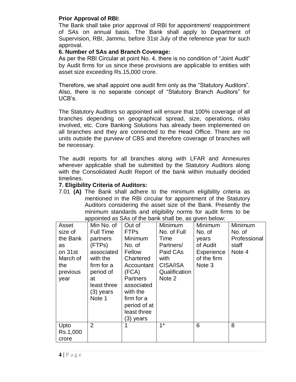#### **Prior Approval of RBI:**

The Bank shall take prior approval of RBI for appointment/ reappointment of SAs on annual basis. The Bank shall apply to Department of Supervision, RBI, Jammu, before 31st July of the reference year for such approval.

#### **6. Number of SAs and Branch Coverage:**

As per the RBI Circular at point No. 4, there is no condition of "Joint Audit" by Audit firms for us since these provisions are applicable to entities with asset size exceeding Rs.15,000 crore.

Therefore, we shall appoint one audit firm only as the "Statutory Auditors". Also, there is no separate concept of "Statutory Branch Auditors" for UCB's.

The Statutory Auditors so appointed will ensure that 100% coverage of all branches depending on geographical spread, size, operations, risks involved, etc. Core Banking Solutions has already been implemented on all branches and they are connected to the Head Office. There are no units outside the purview of CBS and therefore coverage of branches will be necessary.

The audit reports for all branches along with LFAR and Annexures wherever applicable shall be submitted by the Statutory Auditors along with the Consolidated Audit Report of the bank within mutually decided timelines.

#### **7. Eligibility Criteria of Auditors:**

7.01 **(A)** The Bank shall adhere to the minimum eligibility criteria as mentioned in the RBI circular for appointment of the Statutory Auditors considering the asset size of the Bank. Presently the minimum standards and eligibility norms for audit firms to be appointed as SAs of the bank shall be, as given below:

| appointed as S/ to Si the bank shah bo, as given below. |                |                 |               |                |              |
|---------------------------------------------------------|----------------|-----------------|---------------|----------------|--------------|
| Asset                                                   | Min No. of     | Out of          | Minimum       | <b>Minimum</b> | Minimum      |
| size of                                                 | Full Time      | <b>FTPs</b>     | No. of Full   | No. of         | No. of       |
| the Bank                                                | partners       | <b>Minimum</b>  | Time          | years          | Professional |
| as                                                      | (FTPs)         | No. of          | Partners/     | of Audit       | staff        |
| on 31st                                                 | associated     | Fellow          | Paid CAs      | Experience     | Note 4       |
| March of                                                | with the       | Chartered       | with          | of the firm    |              |
| the                                                     | firm for a     | Accountant      | CISA/ISA      | Note 3         |              |
| previous                                                | period of      | (FCA)           | Qualification |                |              |
| year                                                    | at             | <b>Partners</b> | Note 2        |                |              |
|                                                         | least three    | associated      |               |                |              |
|                                                         | $(3)$ years    | with the        |               |                |              |
|                                                         | Note 1         | firm for a      |               |                |              |
|                                                         |                | period of at    |               |                |              |
|                                                         |                | least three     |               |                |              |
|                                                         |                | 3) years        |               |                |              |
| Upto                                                    | $\overline{2}$ |                 | $1*$          | 6              | 8            |
| Rs.1,000                                                |                |                 |               |                |              |
| crore                                                   |                |                 |               |                |              |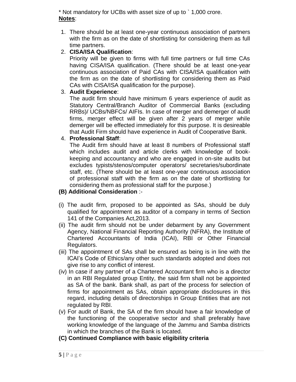\* Not mandatory for UCBs with asset size of up to ` 1,000 crore. **Notes**:

1. There should be at least one-year continuous association of partners with the firm as on the date of shortlisting for considering them as full time partners.

## 2. **CISA/ISA Qualification**:

Priority will be given to firms with full time partners or full time CAs having CISA/ISA qualification. (There should be at least one-year continuous association of Paid CAs with CISA/ISA qualification with the firm as on the date of shortlisting for considering them as Paid CAs with CISA/ISA qualification for the purpose).

## 3. **Audit Experience**:

The audit firm should have minimum 6 years experience of audit as Statutory Central/Branch Auditor of Commercial Banks (excluding RRBs)/ UCBs/NBFCs/ AIFIs. In case of merger and demerger of audit firms, merger effect will be given after 2 years of merger while demerger will be effected immediately for this purpose. It is desireable that Audit Firm should have experience in Audit of Cooperative Bank.

## 4. **Professional Staff**:

The Audit firm should have at least 8 numbers of Professional staff which includes audit and article clerks with knowledge of bookkeeping and accountancy and who are engaged in on-site audits but excludes typists/stenos/computer operators/ secretaries/subordinate staff, etc. (There should be at least one-year continuous association of professional staff with the firm as on the date of shortlisting for considering them as professional staff for the purpose.)

## **(B) Additional Consideration** :-

- (i) The audit firm, proposed to be appointed as SAs, should be duly qualified for appointment as auditor of a company in terms of Section 141 of the Companies Act,2013.
- (ii) The audit firm should not be under debarment by any Government Agency, National Financial Reporting Authority (NFRA), the Institute of Chartered Accountants of India (ICAI), RBI or Other Financial Regulators.
- (iii) The appointment of SAs shall be ensured as being is in line with the ICAI's Code of Ethics/any other such standards adopted and does not give rise to any conflict of interest.
- (iv) In case if any partner of a Chartered Accountant firm who is a director in an RBI Regulated group Entity, the said firm shall not be appointed as SA of the bank. Bank shall, as part of the process for selection of firms for appointment as SAs, obtain appropriate disclosures in this regard, including details of directorships in Group Entities that are not regulated by RBI.
- (v) For audit of Bank, the SA of the firm should have a fair knowledge of the functioning of the cooperative sector and shall preferably have working knowledge of the language of the Jammu and Samba districts in which the branches of the Bank is located.
- **(C) Continued Compliance with basic eligibility criteria**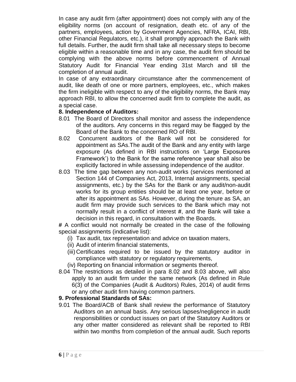In case any audit firm (after appointment) does not comply with any of the eligibility norms (on account of resignation, death etc. of any of the partners, employees, action by Government Agencies, NFRA, ICAI, RBI, other Financial Regulators, etc.), it shall promptly approach the Bank with full details. Further, the audit firm shall take all necessary steps to become eligible within a reasonable time and in any case, the audit firm should be complying with the above norms before commencement of Annual Statutory Audit for Financial Year ending 31st March and till the completion of annual audit.

In case of any extraordinary circumstance after the commencement of audit, like death of one or more partners, employees, etc., which makes the firm ineligible with respect to any of the eligibility norms, the Bank may approach RBI, to allow the concerned audit firm to complete the audit, as a special case.

#### **8. Independence of Auditors:**

- 8.01 The Board of Directors shall monitor and assess the independence of the auditors. Any concerns in this regard may be flagged by the Board of the Bank to the concerned RO of RBI.
- 8.02 Concurrent auditors of the Bank will not be considered for appointment as SAs.The audit of the Bank and any entity with large exposure (As defined in RBI instructions on 'Large Exposures Framework') to the Bank for the same reference year shall also be explicitly factored in while assessing independence of the auditor.
- 8.03 The time gap between any non-audit works (services mentioned at Section 144 of Companies Act, 2013, Internal assignments, special assignments, etc.) by the SAs for the Bank or any audit/non-audit works for its group entities should be at least one year, before or after its appointment as SAs. However, during the tenure as SA, an audit firm may provide such services to the Bank which may not normally result in a conflict of interest **#**, and the Bank will take a decision in this regard, in consultation with the Boards.

**#** A conflict would not normally be created in the case of the following special assignments (indicative list):

- (i) Tax audit, tax representation and advice on taxation maters,
- (ii) Audit of interim financial statements,
- (iii) Certificates required to be issued by the statutory auditor in compliance with statutory or regulatory requirements,
- (iv) Reporting on financial information or segments thereof.
- 8.04 The restrictions as detailed in para 8.02 and 8.03 above, will also apply to an audit firm under the same network (As defined in Rule 6(3) of the Companies (Audit & Auditors) Rules, 2014) of audit firms or any other audit firm having common partners.

## **9. Professional Standards of SAs:**

9.01 The Board/ACB of Bank shall review the performance of Statutory Auditors on an annual basis. Any serious lapses/negligence in audit responsibilities or conduct issues on part of the Statutory Auditors or any other matter considered as relevant shall be reported to RBI within two months from completion of the annual audit. Such reports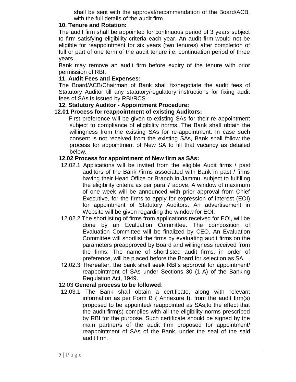shall be sent with the approval/recommendation of the Board/ACB, with the full details of the audit firm.

#### **10. Tenure and Rotation:**

The audit firm shall be appointed for continuous period of 3 years subject to firm satisfying eligibility criteria each year. An audit firm would not be eligible for reappointment for six years (two tenures) after completion of full or part of one term of the audit tenure i.e. continuation period of three years.

Bank may remove an audit firm before expiry of the tenure with prior permission of RBI.

#### **11. Audit Fees and Expenses:**

The Board/ACB/Chairman of Bank shall fix/negotiate the audit fees of Statutory Auditor till any statutory/regulatory instructions for fixing audit fees of SAs is issued by RBI/RCS.

#### **12. Statutory Auditor - Appointment Procedure:**

#### **12.01 Process for reappointment of existing Auditors:**

 First preference will be given to existing SAs for their re-appointment subject to compliance of eligibility norms. The Bank shall obtain the willingness from the existing SAs for re-appointment. In case such consent is not received from the existing SAs, Bank shall follow the process for appointment of New SA to fill that vacancy as detailed below.

#### **12.02 Process for appointment of New firm as SAs:**

- 12.02.1 Applications will be invited from the eligible Audit firms / past auditors of the Bank /firms associated with Bank in past / firms having their Head Office or Branch in Jammu, subject to fulfilling the eligibility criteria as per para 7 above. A window of maximum of one week will be announced with prior approval from Chief Executive, for the firms to apply for expression of interest (EOI) for appointment of Statutory Auditors. An advertisement in Website will be given regarding the window for EOI.
- 12.02.2 The shortlisting of firms from applications received for EOI, will be done by an Evaluation Committee. The composition of Evaluation Committee will be finalized by CEO. An Evaluation Committee will shortlist the firms by evaluating audit firms on the parameters preapproved by Board and willingness received from the firms. The name of shortlisted audit firms, in order of preference, will be placed before the Board for selection as SA.
- 12.02.3 Thereafter, the bank shall seek RBI's approval for appointment/ reappointment of SAs under Sections 30 (1-A) of the Banking Regulation Act, 1949.

#### 12.03 **General process to be followed**:

12.03.1 The Bank shall obtain a certificate, along with relevant information as per Form B ( Annexure I), from the audit firm(s) proposed to be appointed/ reappointed as SAs,to the effect that the audit firm(s) complies with all the eligibility norms prescribed by RBI for the purpose. Such certificate should be signed by the main partner/s of the audit firm proposed for appointment/ reappointment of SAs of the Bank, under the seal of the said audit firm.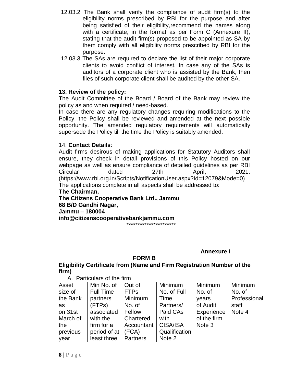- 12.03.2 The Bank shall verify the compliance of audit firm(s) to the eligibility norms prescribed by RBI for the purpose and after being satisfied of their eligibility,recommend the names along with a certificate, in the format as per Form C (Annexure II), stating that the audit firm(s) proposed to be appointed as SA by them comply with all eligibility norms prescribed by RBI for the purpose.
- 12.03.3 The SAs are required to declare the list of their major corporate clients to avoid conflict of interest. In case any of the SAs is auditors of a corporate client who is assisted by the Bank, then files of such corporate client shall be audited by the other SA.

## **13. Review of the policy:**

The Audit Committee of the Board / Board of the Bank may review the policy as and when required / need-based.

In case there are any regulatory changes requiring modifications to the Policy, the Policy shall be reviewed and amended at the next possible opportunity. The amended regulatory requirements will automatically supersede the Policy till the time the Policy is suitably amended.

## 14. **Contact Details**:

Audit firms desirous of making applications for Statutory Auditors shall ensure, they check in detail provisions of this Policy hosted on our webpage as well as ensure compliance of detailed guidelines as per RBI Circular dated 27th April, 2021. (https://www.rbi.org.in/Scripts/NotificationUser.aspx?Id=12079&Mode=0) The applications complete in all aspects shall be addressed to: **The Chairman, The Citizens Cooperative Bank Ltd., Jammu 68 B/D Gandhi Nagar, Jammu – 180004 info@citizenscooperativebankjammu.com**

\*\*\*\*\*\*\*\*\*\*\*\*\*\*\*\*\*\*\*\*\*\*

## **Annexure I**

## **FORM B**

## **Eligibility Certificate from (Name and Firm Registration Number of the firm)**

A. Particulars of the firm

| Asset    | Min No. of   | Out of          | Minimum       | Minimum     | Minimum      |
|----------|--------------|-----------------|---------------|-------------|--------------|
| size of  | Full Time    | <b>FTPs</b>     | No. of Full   | No. of      | No. of       |
| the Bank | partners     | Minimum         | Time          | years       | Professional |
| as       | (FTPs)       | No. of          | Partners/     | of Audit    | staff        |
| on 31st  | associated   | Fellow          | Paid CAs      | Experience  | Note 4       |
| March of | with the     | Chartered       | with          | of the firm |              |
| the      | firm for a   | Accountant      | CISA/ISA      | Note 3      |              |
| previous | period of at | (FCA)           | Qualification |             |              |
| year     | least three  | <b>Partners</b> | Note 2        |             |              |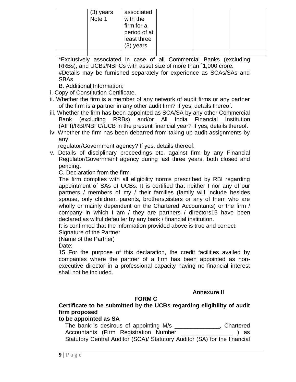| (3) years<br>Note 1 | associated<br>with the<br>firm for a<br>period of at<br>least three<br>years |  |  |
|---------------------|------------------------------------------------------------------------------|--|--|
|                     |                                                                              |  |  |

\*Exclusively associated in case of all Commercial Banks (excluding RRBs), and UCBs/NBFCs with asset size of more than `1,000 crore. #Details may be furnished separately for experience as SCAs/SAs and **SBAs** 

B. Additional Information:

- i. Copy of Constitution Certificate.
- ii. Whether the firm is a member of any network of audit firms or any partner of the firm is a partner in any other audit firm? If yes, details thereof.
- iii. Whether the firm has been appointed as SCA/SA by any other Commercial Bank (excluding RRBs) and/or All India Financial Institution (AIFI)/RBI/NBFC/UCB in the present financial year? If yes, details thereof.
- iv. Whether the firm has been debarred from taking up audit assignments by any

regulator/Government agency? If yes, details thereof.

v. Details of disciplinary proceedings etc. against firm by any Financial Regulator/Government agency during last three years, both closed and pending.

C. Declaration from the firm

The firm complies with all eligibility norms prescribed by RBI regarding appointment of SAs of UCBs. It is certified that neither I nor any of our partners / members of my / their families (family will include besides spouse, only children, parents, brothers,sisters or any of them who are wholly or mainly dependent on the Chartered Accountants) or the firm / company in which I am / they are partners / directors15 have been declared as wilful defaulter by any bank / financial institution.

It is confirmed that the information provided above is true and correct.

Signature of the Partner

(Name of the Partner)

Date:

15 For the purpose of this declaration, the credit facilities availed by companies where the partner of a firm has been appointed as nonexecutive director in a professional capacity having no financial interest shall not be included.

#### **Annexure II**

#### **FORM C**

## **Certificate to be submitted by the UCBs regarding eligibility of audit firm proposed**

## **to be appointed as SA**

 The bank is desirous of appointing M/s \_\_\_\_\_\_\_\_\_\_\_\_\_\_, Chartered Accountants (Firm Registration Number ) as Statutory Central Auditor (SCA)/ Statutory Auditor (SA) for the financial